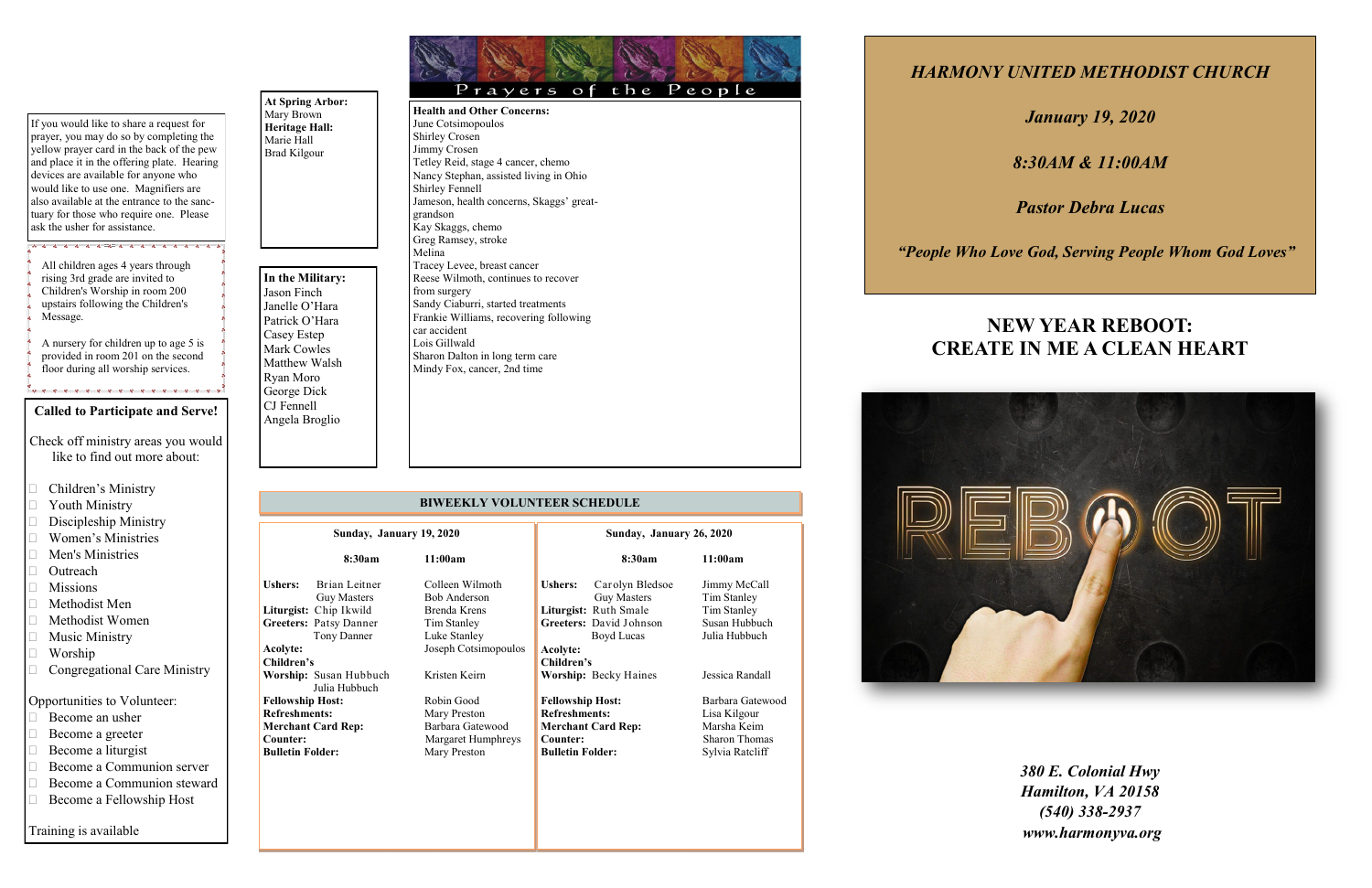### **Called to Participate and Serve!**

- Check off ministry areas you would like to find out more about:
- □ Children's Ministry
- **Transfluit** Youth Ministry
- $\square$  Discipleship Ministry
- Women's Ministries
- Men's Ministries
- □ Outreach
- **Missions**
- $\Box$  Methodist Men
- Methodist Women
- $\Box$  Music Ministry
- Worship
- □ Congregational Care Ministry

## Opportunities to Volunteer:

- □ Become an usher
- □ Become a greeter
- $\Box$  Become a liturgist

Training is available

- □ Become a Communion server
- Become a Communion steward
- □ Become a Fellowship Host

**At Spring Arbor:** Mary Brown **Heritage Hall:** Marie Hall Brad Kilgour

**In the Military:**  Jason Finch Janelle O'Hara Patrick O'Hara Casey Estep Mark Cowles Matthew Walsh Ryan Moro George Dick CJ Fennell Angela Broglio

## **BIWEEKLY VOLUNTEER SCHEDULE**

*HARMONY UNITED METHODIST CHURCH*

*January 19, 2020*

*8:30AM & 11:00AM*

*Pastor Debra Lucas*

 *"People Who Love God, Serving People Whom God Loves"*

*380 E. Colonial Hwy Hamilton, VA 20158 (540) 338-2937 www.harmonyva.org*

Prayers of the People **Health and Other Concerns:** June Cotsimopoulos Shirley Crosen Jimmy Crosen Tetley Reid, stage 4 cancer, chemo Nancy Stephan, assisted living in Ohio Shirley Fennell Jameson, health concerns, Skaggs' greatgrandson Kay Skaggs, chemo Greg Ramsey, stroke Melina Tracey Levee, breast cancer Reese Wilmoth, continues to recover from surgery Sandy Ciaburri, started treatments Frankie Williams, recovering following car accident Lois Gillwald Sharon Dalton in long term care Mindy Fox, cancer, 2nd time

If you would like to share a request for prayer, you may do so by completing the yellow prayer card in the back of the pew and place it in the offering plate. Hearing devices are available for anyone who would like to use one. Magnifiers are also available at the entrance to the sanctuary for those who require one. Please ask the usher for assistance.

All children ages 4 years through rising 3rd grade are invited to Children's Worship in room 200 upstairs following the Children's Message.

A nursery for children up to age 5 is provided in room 201 on the second floor during all worship services.

| Sunday, January 19, 2020                                                               |                                                                                                        |                                                                                                        | Sunday, January 26, 2020                                                                                                              |                                                                                            |  |
|----------------------------------------------------------------------------------------|--------------------------------------------------------------------------------------------------------|--------------------------------------------------------------------------------------------------------|---------------------------------------------------------------------------------------------------------------------------------------|--------------------------------------------------------------------------------------------|--|
|                                                                                        | 8:30am                                                                                                 | 11:00am                                                                                                | 8:30am                                                                                                                                | 11:00am                                                                                    |  |
| <b>Ushers:</b><br>Acolyte:                                                             | Brian Leitner<br><b>Guy Masters</b><br>Liturgist: Chip Ikwild<br>Greeters: Patsy Danner<br>Tony Danner | Colleen Wilmoth<br>Bob Anderson<br>Brenda Krens<br>Tim Stanley<br>Luke Stanley<br>Joseph Cotsimopoulos | <b>Ushers:</b><br>Carolyn Bledsoe<br><b>Guy Masters</b><br>Liturgist: Ruth Smale<br>Greeters: David Johnson<br>Boyd Lucas<br>Acolyte: | Jimmy McCall<br>Tim Stanley<br>Tim Stanley<br>Susan Hubbuch<br>Julia Hubbuch               |  |
| Children's                                                                             | Worship: Susan Hubbuch                                                                                 | Kristen Keirn                                                                                          | Children's<br><b>Worship:</b> Becky Haines                                                                                            | Jessica Randall                                                                            |  |
| <b>Fellowship Host:</b><br><b>Refreshments:</b><br>Counter:<br><b>Bulletin Folder:</b> | Julia Hubbuch<br><b>Merchant Card Rep:</b>                                                             | Robin Good<br>Mary Preston<br>Barbara Gatewood<br>Margaret Humphreys<br>Mary Preston                   | <b>Fellowship Host:</b><br><b>Refreshments:</b><br><b>Merchant Card Rep:</b><br>Counter:<br><b>Bulletin Folder:</b>                   | Barbara Gatewood<br>Lisa Kilgour<br>Marsha Keim<br><b>Sharon Thomas</b><br>Sylvia Ratcliff |  |
|                                                                                        |                                                                                                        |                                                                                                        |                                                                                                                                       |                                                                                            |  |



# **NEW YEAR REBOOT: CREATE IN ME A CLEAN HEART**